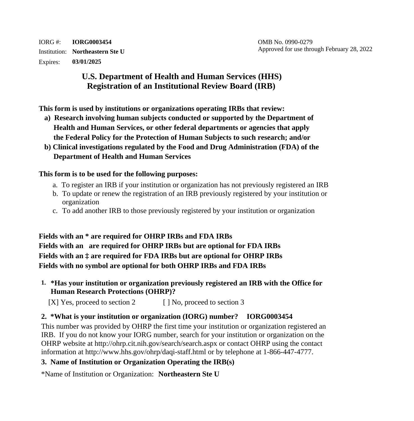IORG #: **IORG0003454** OMB No. 0990-0279 Expires: **03/01/2025** 

# **U.S. Department of Health and Human Services (HHS) Registration of an Institutional Review Board (IRB)**

**This form is used by institutions or organizations operating IRBs that review:**

- **a) Research involving human subjects conducted or supported by the Department of Health and Human Services, or other federal departments or agencies that apply the Federal Policy for the Protection of Human Subjects to such research; and/or**
- **b) Clinical investigations regulated by the Food and Drug Administration (FDA) of the Department of Health and Human Services**

### **This form is to be used for the following purposes:**

- a. To register an IRB if your institution or organization has not previously registered an IRB
- b. To update or renew the registration of an IRB previously registered by your institution or organization
- c. To add another IRB to those previously registered by your institution or organization

**Fields with an \* are required for OHRP IRBs and FDA IRBs Fields with an are required for OHRP IRBs but are optional for FDA IRBs Fields with an ‡ are required for FDA IRBs but are optional for OHRP IRBs Fields with no symbol are optional for both OHRP IRBs and FDA IRBs** 

**1. \*Has your institution or organization previously registered an IRB with the Office for Human Research Protections (OHRP)?** 

[X] Yes, proceed to section 2  $\Box$  [ ] No, proceed to section 3

# **2. \*What is your institution or organization (IORG) number? IORG0003454**

This number was provided by OHRP the first time your institution or organization registered an IRB. If you do not know your IORG number, search for your institution or organization on the OHRP website at<http://ohrp.cit.nih.gov/search/search.aspx>or contact OHRP using the contact information at <http://www.hhs.gov/ohrp/daqi-staff.html>or by telephone at 1-866-447-4777.

## **3. Name of Institution or Organization Operating the IRB(s)**

\*Name of Institution or Organization: **Northeastern Ste U**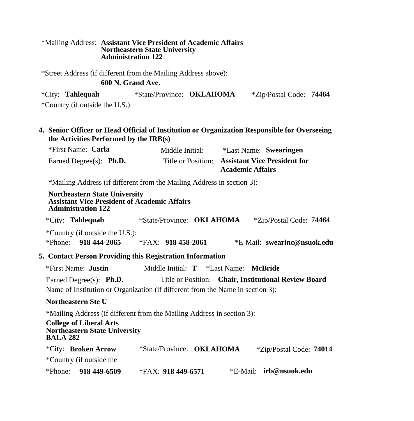#### \*Mailing Address: **Assistant Vice President of Academic Affairs Northeastern State University Administration 122**

\*Street Address (if different from the Mailing Address above):

### **600 N. Grand Ave.**

|        | <i><b>*City: Tahlequah</b></i> | *State/Province: <b>OKLAHOMA</b> | *Zip/Postal Code: 74464 |  |
|--------|--------------------------------|----------------------------------|-------------------------|--|
| $\sim$ |                                |                                  |                         |  |

\*Country (if outside the U.S.):

### **4. Senior Officer or Head Official of Institution or Organization Responsible for Overseeing the Activities Performed by the IRB(s)**

| *First Name: Carla                 | Middle Initial: | *Last Name: Swearingen                                                     |
|------------------------------------|-----------------|----------------------------------------------------------------------------|
| Earned Degree $(s)$ : <b>Ph.D.</b> |                 | Title or Position: Assistant Vice President for<br><b>Academic Affairs</b> |

\*Mailing Address (if different from the Mailing Address in section 3):

#### **Northeastern State University Assistant Vice President of Academic Affairs Administration 122**

|  | <i><b>*City: Tahlequah</b></i> | *State/Province: <b>OKLAHOMA</b> |  | <i>*Zip/Postal Code: 74464</i> |  |
|--|--------------------------------|----------------------------------|--|--------------------------------|--|
|--|--------------------------------|----------------------------------|--|--------------------------------|--|

\*Country (if outside the U.S.):

\*Phone: **918 444-2065** \*FAX: **918 458-2061** \*E-Mail: **[swearinc@nsuok.edu](mailto:swearinc@nsuok.edu)** 

### **5. Contact Person Providing this Registration Information**

| *First Name: <b>Justin</b>                                                     | Middle Initial: T *Last Name: McBride |                                                      |
|--------------------------------------------------------------------------------|---------------------------------------|------------------------------------------------------|
| Earned Degree $(s)$ : <b>Ph.D.</b>                                             |                                       | Title or Position: Chair, Institutional Review Board |
| Name of Institution or Organization (if different from the Name in section 3): |                                       |                                                      |

#### **Northeastern Ste U**

\*Mailing Address (if different from the Mailing Address in section 3):

#### **College of Liberal Arts Northeastern State University BALA 282**

|         | <i>*City:</i> Broken Arrow | *State/Province: <b>OKLAHOMA</b> | <i>*Zip/Postal Code: 74014</i> |
|---------|----------------------------|----------------------------------|--------------------------------|
|         | *Country (if outside the   |                                  |                                |
| *Phone: | 918 449-6509               | *FAX: $918$ 449-6571             | *E-Mail: <b>irb@nsuok.edu</b>  |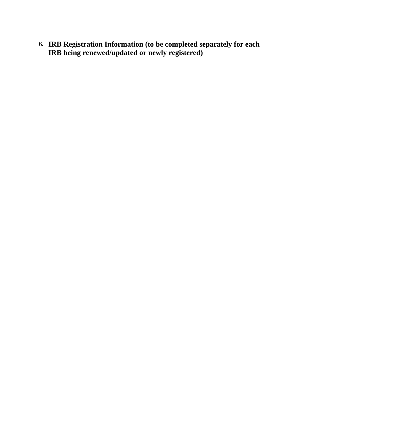**6. IRB Registration Information (to be completed separately for each IRB being renewed/updated or newly registered)**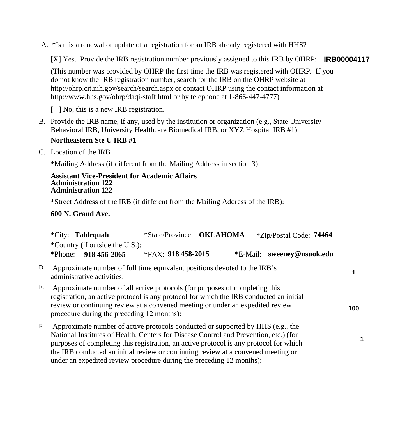A. \*Is this a renewal or update of a registration for an IRB already registered with HHS?

[X] Yes. Provide the IRB registration number previously assigned to this IRB by OHRP: **IRB00004117** 

(This number was provided by OHRP the first time the IRB was registered with OHRP. If you do not know the IRB registration number, search for the IRB on the OHRP website at <http://ohrp.cit.nih.gov/search/search.aspx> or contact OHRP using the contact information at <http://www.hhs.gov/ohrp/daqi-staff.html>or by telephone at 1-866-447-4777)

[ ] No, this is a new IRB registration.

B. Provide the IRB name, if any, used by the institution or organization (e.g., State University Behavioral IRB, University Healthcare Biomedical IRB, or XYZ Hospital IRB #1):

### **Northeastern Ste U IRB #1**

C. Location of the IRB

\*Mailing Address (if different from the Mailing Address in section 3):

#### **Assistant Vice-President for Academic Affairs Administration 122 Administration 122**

\*Street Address of the IRB (if different from the Mailing Address of the IRB):

### **600 N. Grand Ave.**

|    | <i>*City:</i> Tahlequah                                                                                                                                                                                                                                                                                                                                                                                                         | *State/Province: OKLAHOMA | <i>*Zip/Postal Code:</i> 74464 |     |
|----|---------------------------------------------------------------------------------------------------------------------------------------------------------------------------------------------------------------------------------------------------------------------------------------------------------------------------------------------------------------------------------------------------------------------------------|---------------------------|--------------------------------|-----|
|    | *Country (if outside the U.S.):                                                                                                                                                                                                                                                                                                                                                                                                 |                           |                                |     |
|    | 918 456-2065<br>*Phone:                                                                                                                                                                                                                                                                                                                                                                                                         | *FAX: $918$ 458-2015      | *E-Mail: sweeney@nsuok.edu     |     |
| D. | Approximate number of full time equivalent positions devoted to the IRB's<br>administrative activities:                                                                                                                                                                                                                                                                                                                         |                           |                                | 1   |
| Е. | Approximate number of all active protocols (for purposes of completing this<br>registration, an active protocol is any protocol for which the IRB conducted an initial<br>review or continuing review at a convened meeting or under an expedited review<br>procedure during the preceding 12 months):                                                                                                                          |                           |                                | 100 |
| F. | Approximate number of active protocols conducted or supported by HHS (e.g., the<br>National Institutes of Health, Centers for Disease Control and Prevention, etc.) (for<br>purposes of completing this registration, an active protocol is any protocol for which<br>the IRB conducted an initial review or continuing review at a convened meeting or<br>under an expedited review procedure during the preceding 12 months): |                           |                                |     |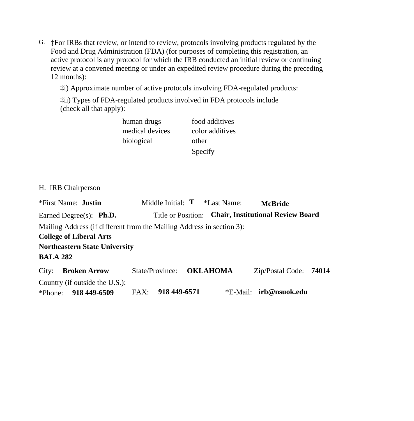G. ‡For IRBs that review, or intend to review, protocols involving products regulated by the Food and Drug Administration (FDA) (for purposes of completing this registration, an active protocol is any protocol for which the IRB conducted an initial review or continuing review at a convened meeting or under an expedited review procedure during the preceding 12 months):

‡i) Approximate number of active protocols involving FDA-regulated products:

‡ii) Types of FDA-regulated products involved in FDA protocols include (check all that apply):

| human drugs     | food additives  |
|-----------------|-----------------|
| medical devices | color additives |
| biological      | other           |
|                 | Specify         |

H. IRB Chairperson

| <i><b>*First Name: Justin</b></i>                                     |                   | Middle Initial: $T$ *Last Name: | <b>McBride</b>                                       |  |
|-----------------------------------------------------------------------|-------------------|---------------------------------|------------------------------------------------------|--|
| Earned Degree $(s)$ : <b>Ph.D.</b>                                    |                   |                                 | Title or Position: Chair, Institutional Review Board |  |
| Mailing Address (if different from the Mailing Address in section 3): |                   |                                 |                                                      |  |
| <b>College of Liberal Arts</b>                                        |                   |                                 |                                                      |  |
| <b>Northeastern State University</b>                                  |                   |                                 |                                                      |  |
| <b>BALA 282</b>                                                       |                   |                                 |                                                      |  |
| City:<br><b>Broken Arrow</b>                                          |                   | State/Province: <b>OKLAHOMA</b> | Zip/Postal Code: 74014                               |  |
| Country (if outside the U.S.):                                        |                   |                                 |                                                      |  |
| *Phone: $918\,449-6509$                                               | FAX: 918 449-6571 |                                 | *E-Mail: irb@nsuok.edu                               |  |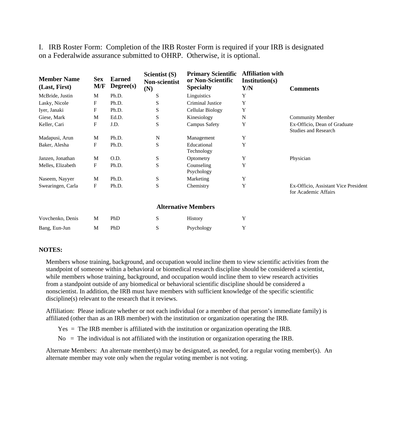| <b>Member Name</b><br>(Last, First) | <b>Sex</b><br>M/F | <b>Earned</b><br>Degree(s) | Scientist (S)<br><b>Non-scientist</b><br>(N) | <b>Primary Scientific</b><br>or Non-Scientific<br><b>Specialty</b> | <b>Affiliation with</b><br>Institution(s)<br>Y/N | <b>Comments</b>                                              |
|-------------------------------------|-------------------|----------------------------|----------------------------------------------|--------------------------------------------------------------------|--------------------------------------------------|--------------------------------------------------------------|
| McBride, Justin                     | M                 | Ph.D.                      | S                                            | Linguistics                                                        | Y                                                |                                                              |
| Lasky, Nicole                       | F                 | Ph.D.                      | S                                            | Criminal Justice                                                   | Y                                                |                                                              |
| Iyer, Janaki                        | F                 | Ph.D.                      | S                                            | <b>Cellular Biology</b>                                            | Y                                                |                                                              |
| Giese, Mark                         | M                 | Ed.D.                      | S                                            | Kinesiology                                                        | $\mathbf N$                                      | <b>Community Member</b>                                      |
| Keller, Cari                        | F                 | J.D.                       | S                                            | <b>Campus Safety</b>                                               | Y                                                | Ex-Officio, Dean of Graduate<br><b>Studies and Research</b>  |
| Madapusi, Arun                      | M                 | Ph.D.                      | N                                            | Management                                                         | Y                                                |                                                              |
| Baker, Alesha                       | F                 | Ph.D.                      | S                                            | Educational<br>Technology                                          | Y                                                |                                                              |
| Janzen, Jonathan                    | M                 | O.D.                       | ${\bf S}$                                    | Optometry                                                          | Y                                                | Physician                                                    |
| Melles, Elizabeth                   | F                 | Ph.D.                      | S                                            | Counseling<br>Psychology                                           | Y                                                |                                                              |
| Naseem, Nayyer                      | M                 | Ph.D.                      | ${\bf S}$                                    | Marketing                                                          | Y                                                |                                                              |
| Swearingen, Carla                   | F                 | Ph.D.                      | S                                            | Chemistry                                                          | Y                                                | Ex-Officio, Assistant Vice President<br>for Academic Affairs |
|                                     |                   |                            |                                              | <b>Alternative Members</b>                                         |                                                  |                                                              |
| Vovchenko, Denis                    | M                 | PhD                        | S                                            | <b>History</b>                                                     | Y                                                |                                                              |
| Bang, Eun-Jun                       | M                 | PhD                        | ${\bf S}$                                    | Psychology                                                         | Y                                                |                                                              |
|                                     |                   |                            |                                              |                                                                    |                                                  |                                                              |

I. IRB Roster Form: Completion of the IRB Roster Form is required if your IRB is designated on a Federalwide assurance submitted to OHRP. Otherwise, it is optional.

#### **NOTES:**

Members whose training, background, and occupation would incline them to view scientific activities from the standpoint of someone within a behavioral or biomedical research discipline should be considered a scientist, while members whose training, background, and occupation would incline them to view research activities from a standpoint outside of any biomedical or behavioral scientific discipline should be considered a nonscientist. In addition, the IRB must have members with sufficient knowledge of the specific scientific discipline(s) relevant to the research that it reviews.

Affiliation: Please indicate whether or not each individual (or a member of that person's immediate family) is affiliated (other than as an IRB member) with the institution or organization operating the IRB.

Yes = The IRB member is affiliated with the institution or organization operating the IRB.

 $No = The individual is not affiliated with the institution or organization operating the IRB.$ 

Alternate Members: An alternate member(s) may be designated, as needed, for a regular voting member(s). An alternate member may vote only when the regular voting member is not voting.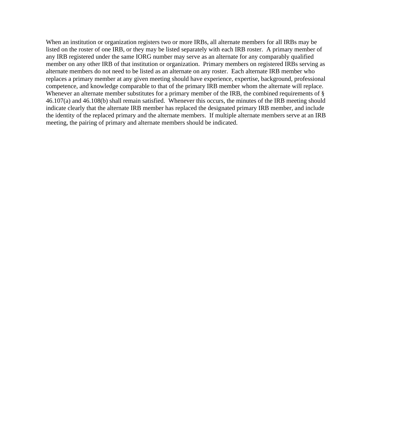When an institution or organization registers two or more IRBs, all alternate members for all IRBs may be listed on the roster of one IRB, or they may be listed separately with each IRB roster. A primary member of any IRB registered under the same IORG number may serve as an alternate for any comparably qualified member on any other IRB of that institution or organization. Primary members on registered IRBs serving as alternate members do not need to be listed as an alternate on any roster. Each alternate IRB member who replaces a primary member at any given meeting should have experience, expertise, background, professional competence, and knowledge comparable to that of the primary IRB member whom the alternate will replace. Whenever an alternate member substitutes for a primary member of the IRB, the combined requirements of § 46.107(a) and 46.108(b) shall remain satisfied. Whenever this occurs, the minutes of the IRB meeting should indicate clearly that the alternate IRB member has replaced the designated primary IRB member, and include the identity of the replaced primary and the alternate members. If multiple alternate members serve at an IRB meeting, the pairing of primary and alternate members should be indicated.